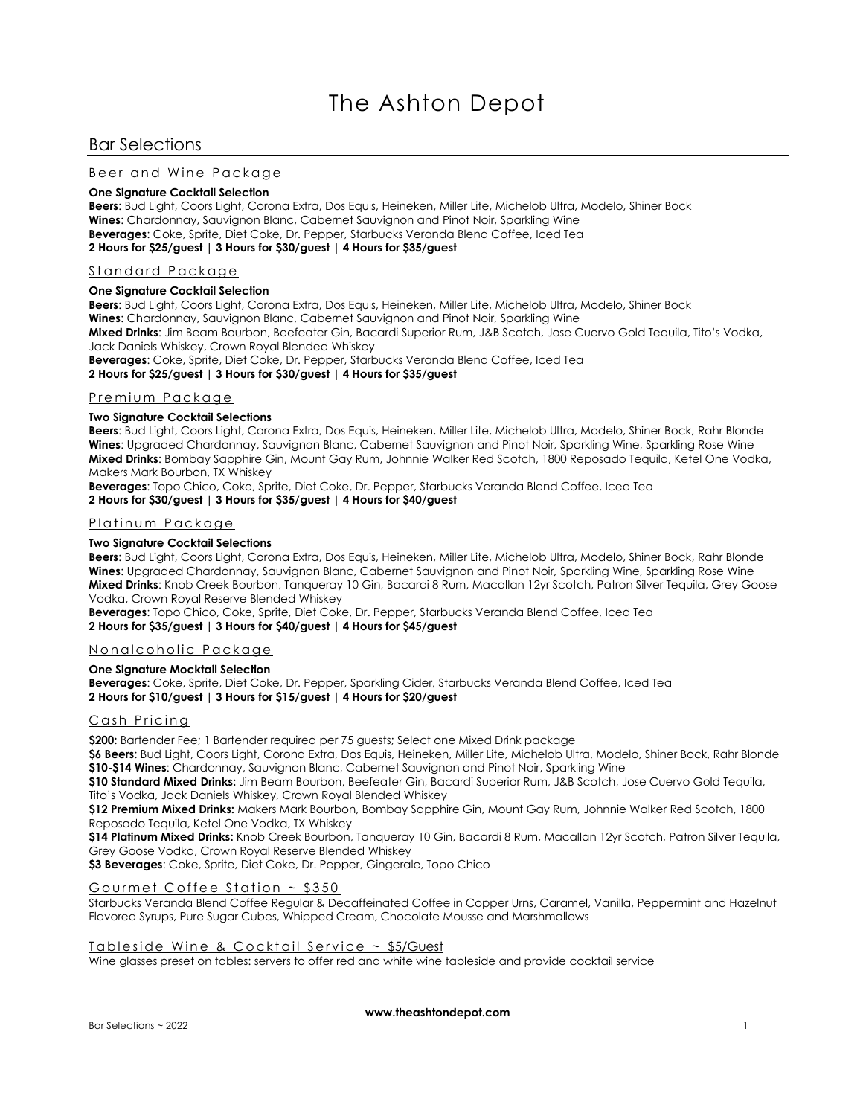# Bar Selections

# Beer and Wine Package

#### **One Signature Cocktail Selection**

**Beers**: Bud Light, Coors Light, Corona Extra, Dos Equis, Heineken, Miller Lite, Michelob Ultra, Modelo, Shiner Bock **Wines**: Chardonnay, Sauvignon Blanc, Cabernet Sauvignon and Pinot Noir, Sparkling Wine **Beverages**: Coke, Sprite, Diet Coke, Dr. Pepper, Starbucks Veranda Blend Coffee, Iced Tea **2 Hours for \$25/guest | 3 Hours for \$30/guest | 4 Hours for \$35/guest**

## Standard Package

#### **One Signature Cocktail Selection**

**Beers**: Bud Light, Coors Light, Corona Extra, Dos Equis, Heineken, Miller Lite, Michelob Ultra, Modelo, Shiner Bock **Wines**: Chardonnay, Sauvignon Blanc, Cabernet Sauvignon and Pinot Noir, Sparkling Wine **Mixed Drinks**: Jim Beam Bourbon, Beefeater Gin, Bacardi Superior Rum, J&B Scotch, Jose Cuervo Gold Tequila, Tito's Vodka, Jack Daniels Whiskey, Crown Royal Blended Whiskey

**Beverages**: Coke, Sprite, Diet Coke, Dr. Pepper, Starbucks Veranda Blend Coffee, Iced Tea

**2 Hours for \$25/guest | 3 Hours for \$30/guest | 4 Hours for \$35/guest**

# Premium Packaae

## **Two Signature Cocktail Selections**

**Beers**: Bud Light, Coors Light, Corona Extra, Dos Equis, Heineken, Miller Lite, Michelob Ultra, Modelo, Shiner Bock, Rahr Blonde **Wines**: Upgraded Chardonnay, Sauvignon Blanc, Cabernet Sauvignon and Pinot Noir, Sparkling Wine, Sparkling Rose Wine **Mixed Drinks**: Bombay Sapphire Gin, Mount Gay Rum, Johnnie Walker Red Scotch, 1800 Reposado Tequila, Ketel One Vodka, Makers Mark Bourbon, TX Whiskey

**Beverages**: Topo Chico, Coke, Sprite, Diet Coke, Dr. Pepper, Starbucks Veranda Blend Coffee, Iced Tea **2 Hours for \$30/guest | 3 Hours for \$35/guest | 4 Hours for \$40/guest**

### <u>Platinum Package</u>

### **Two Signature Cocktail Selections**

**Beers**: Bud Light, Coors Light, Corona Extra, Dos Equis, Heineken, Miller Lite, Michelob Ultra, Modelo, Shiner Bock, Rahr Blonde **Wines**: Upgraded Chardonnay, Sauvignon Blanc, Cabernet Sauvignon and Pinot Noir, Sparkling Wine, Sparkling Rose Wine **Mixed Drinks**: Knob Creek Bourbon, Tanqueray 10 Gin, Bacardi 8 Rum, Macallan 12yr Scotch, Patron Silver Tequila, Grey Goose Vodka, Crown Royal Reserve Blended Whiskey

**Beverages**: Topo Chico, Coke, Sprite, Diet Coke, Dr. Pepper, Starbucks Veranda Blend Coffee, Iced Tea **2 Hours for \$35/guest | 3 Hours for \$40/guest | 4 Hours for \$45/guest**

# Nonalcoholic Package

## **One Signature Mocktail Selection**

**Beverages**: Coke, Sprite, Diet Coke, Dr. Pepper, Sparkling Cider, Starbucks Veranda Blend Coffee, Iced Tea **2 Hours for \$10/guest | 3 Hours for \$15/guest | 4 Hours for \$20/guest**

# Cash Pricing

**\$200:** Bartender Fee; 1 Bartender required per 75 guests; Select one Mixed Drink package

**\$6 Beers**: Bud Light, Coors Light, Corona Extra, Dos Equis, Heineken, Miller Lite, Michelob Ultra, Modelo, Shiner Bock, Rahr Blonde **\$10-\$14 Wines**: Chardonnay, Sauvignon Blanc, Cabernet Sauvignon and Pinot Noir, Sparkling Wine

**\$10 Standard Mixed Drinks:** Jim Beam Bourbon, Beefeater Gin, Bacardi Superior Rum, J&B Scotch, Jose Cuervo Gold Tequila, Tito's Vodka, Jack Daniels Whiskey, Crown Royal Blended Whiskey

**\$12 Premium Mixed Drinks:** Makers Mark Bourbon, Bombay Sapphire Gin, Mount Gay Rum, Johnnie Walker Red Scotch, 1800 Reposado Tequila, Ketel One Vodka, TX Whiskey

**\$14 Platinum Mixed Drinks:** Knob Creek Bourbon, Tanqueray 10 Gin, Bacardi 8 Rum, Macallan 12yr Scotch, Patron Silver Tequila, Grey Goose Vodka, Crown Royal Reserve Blended Whiskey

**\$3 Beverages**: Coke, Sprite, Diet Coke, Dr. Pepper, Gingerale, Topo Chico

# Gourmet Coffee Station  $\sim$  \$350

Starbucks Veranda Blend Coffee Regular & Decaffeinated Coffee in Copper Urns, Caramel, Vanilla, Peppermint and Hazelnut Flavored Syrups, Pure Sugar Cubes, Whipped Cream, Chocolate Mousse and Marshmallows

### Tableside Wine & Cocktail Service ~ \$5/Guest

Wine glasses preset on tables: servers to offer red and white wine tableside and provide cocktail service

**www.theashtondepot.com**